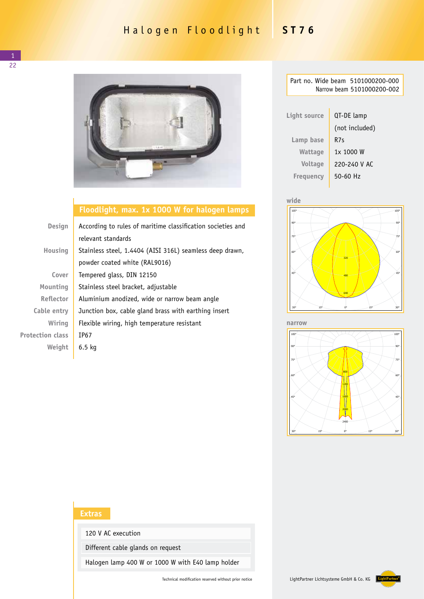## Halogen Floodlight **ST76**



## **Floodlight, max. 1x 1000 W for halogen lamps**

| <b>Design</b>           | According to rules of maritime classification societies and |  |  |
|-------------------------|-------------------------------------------------------------|--|--|
|                         | relevant standards                                          |  |  |
| Housing                 | Stainless steel, 1.4404 (AISI 316L) seamless deep drawn,    |  |  |
|                         | powder coated white (RAL9016)                               |  |  |
| Cover                   | Tempered glass, DIN 12150                                   |  |  |
| Mounting                | Stainless steel bracket, adjustable                         |  |  |
| <b>Reflector</b>        | Aluminium anodized, wide or narrow beam angle               |  |  |
| Cable entry             | Junction box, cable gland brass with earthing insert        |  |  |
| Wiring                  | Flexible wiring, high temperature resistant                 |  |  |
| <b>Protection class</b> | TP67                                                        |  |  |
| Weight                  | $6.5$ kg                                                    |  |  |

| Part no. Wide beam 5101000200-000<br>Narrow beam 5101000200-002 |                |  |  |  |
|-----------------------------------------------------------------|----------------|--|--|--|
|                                                                 |                |  |  |  |
| Light source                                                    | QT-DE lamp     |  |  |  |
|                                                                 | (not included) |  |  |  |
| Lamp base                                                       | R7s            |  |  |  |
| Wattage                                                         | 1x 1000 W      |  |  |  |
| <b>Voltage</b>                                                  | 220-240 V AC   |  |  |  |
| Freguency                                                       | $50 - 60$ Hz   |  |  |  |



Leuchte: Jordan Reflektoren 51010002... ST 76 1x1000 Halo narrow Lampen: 1 x Haloline 750W **narrow**



## **Extras**

120 V AC execution

Different cable glands on request

Halogen lamp 400 W or 1000 W with E40 lamp holder